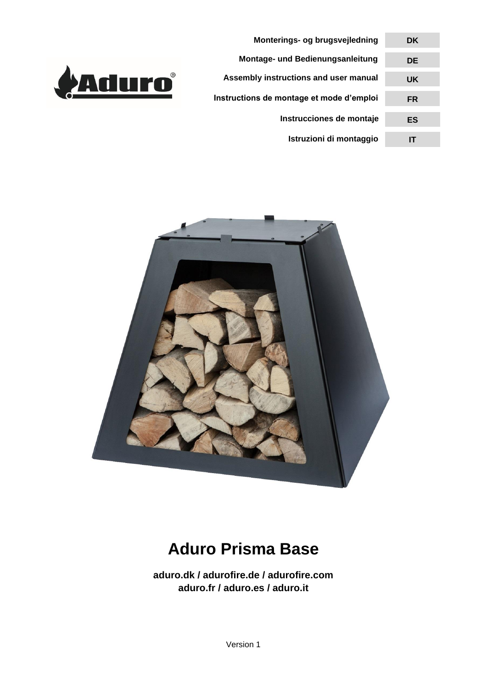

**Monterings- og brugsvejledning Montage- und Bedienungsanleitung Assembly instructions and user manual Instructions de montage et mode d'emploi DK DE UK FR Instrucciones de montaje ES Istruzioni di montaggio IT** 



# **Aduro Prisma Base**

**aduro.dk / adurofire.de / adurofire.com aduro.fr / aduro.es / aduro.it**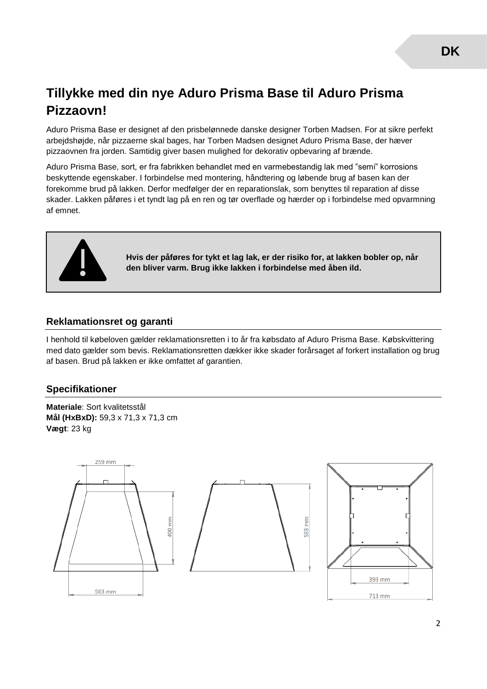# **Tillykke med din nye Aduro Prisma Base til Aduro Prisma Pizzaovn!**

Aduro Prisma Base er designet af den prisbelønnede danske designer Torben Madsen. For at sikre perfekt arbejdshøjde, når pizzaerne skal bages, har Torben Madsen designet Aduro Prisma Base, der hæver pizzaovnen fra jorden. Samtidig giver basen mulighed for dekorativ opbevaring af brænde.

Aduro Prisma Base, sort, er fra fabrikken behandlet med en varmebestandig lak med "semi" korrosions beskyttende egenskaber. I forbindelse med montering, håndtering og løbende brug af basen kan der forekomme brud på lakken. Derfor medfølger der en reparationslak, som benyttes til reparation af disse skader. Lakken påføres i et tyndt lag på en ren og tør overflade og hærder op i forbindelse med opvarmning af emnet.



**Hvis der påføres for tykt et lag lak, er der risiko for, at lakken bobler op, når den bliver varm. Brug ikke lakken i forbindelse med åben ild.**

### **Reklamationsret og garanti**

I henhold til købeloven gælder reklamationsretten i to år fra købsdato af Aduro Prisma Base. Købskvittering med dato gælder som bevis. Reklamationsretten dækker ikke skader forårsaget af forkert installation og brug af basen. Brud på lakken er ikke omfattet af garantien.

#### **Specifikationer**

**Materiale**: Sort kvalitetsstål **Mål (HxBxD):** 59,3 x 71,3 x 71,3 cm **Vægt**: 23 kg

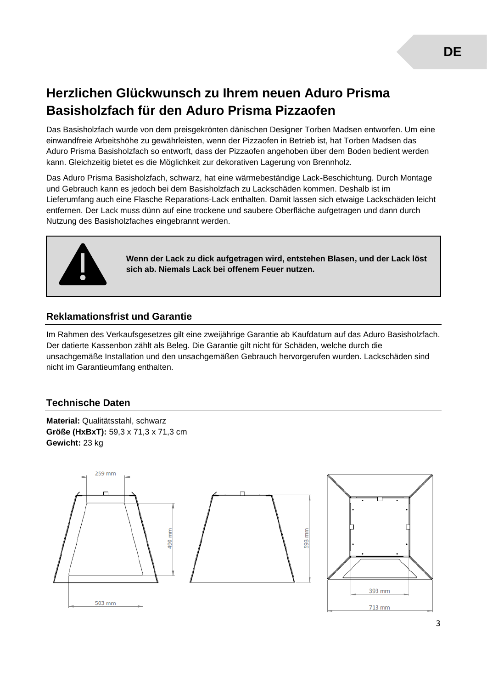# **Herzlichen Glückwunsch zu Ihrem neuen Aduro Prisma Basisholzfach für den Aduro Prisma Pizzaofen**

Das Basisholzfach wurde von dem preisgekrönten dänischen Designer Torben Madsen entworfen. Um eine einwandfreie Arbeitshöhe zu gewährleisten, wenn der Pizzaofen in Betrieb ist, hat Torben Madsen das Aduro Prisma Basisholzfach so entworft, dass der Pizzaofen angehoben über dem Boden bedient werden kann. Gleichzeitig bietet es die Möglichkeit zur dekorativen Lagerung von Brennholz.

Das Aduro Prisma Basisholzfach, schwarz, hat eine wärmebeständige Lack-Beschichtung. Durch Montage und Gebrauch kann es jedoch bei dem Basisholzfach zu Lackschäden kommen. Deshalb ist im Lieferumfang auch eine Flasche Reparations-Lack enthalten. Damit lassen sich etwaige Lackschäden leicht entfernen. Der Lack muss dünn auf eine trockene und saubere Oberfläche aufgetragen und dann durch Nutzung des Basisholzfaches eingebrannt werden.



**Wenn der Lack zu dick aufgetragen wird, entstehen Blasen, und der Lack löst sich ab. Niemals Lack bei offenem Feuer nutzen.**

### **Reklamationsfrist und Garantie**

Im Rahmen des Verkaufsgesetzes gilt eine zweijährige Garantie ab Kaufdatum auf das Aduro Basisholzfach. Der datierte Kassenbon zählt als Beleg. Die Garantie gilt nicht für Schäden, welche durch die unsachgemäße Installation und den unsachgemäßen Gebrauch hervorgerufen wurden. Lackschäden sind nicht im Garantieumfang enthalten.

### **Technische Daten**

**Material:** Qualitätsstahl, schwarz **Größe (HxBxT):** 59,3 x 71,3 x 71,3 cm **Gewicht:** 23 kg

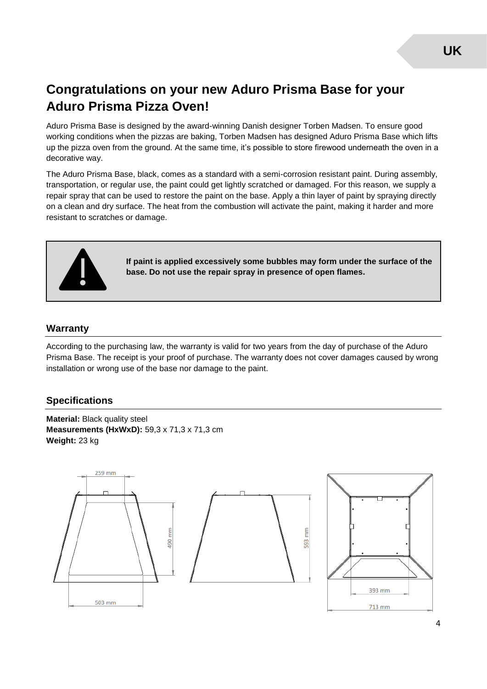# **Congratulations on your new Aduro Prisma Base for your Aduro Prisma Pizza Oven!**

Aduro Prisma Base is designed by the award-winning Danish designer Torben Madsen. To ensure good working conditions when the pizzas are baking, Torben Madsen has designed Aduro Prisma Base which lifts up the pizza oven from the ground. At the same time, it's possible to store firewood underneath the oven in a decorative way.

The Aduro Prisma Base, black, comes as a standard with a semi-corrosion resistant paint. During assembly, transportation, or regular use, the paint could get lightly scratched or damaged. For this reason, we supply a repair spray that can be used to restore the paint on the base. Apply a thin layer of paint by spraying directly on a clean and dry surface. The heat from the combustion will activate the paint, making it harder and more resistant to scratches or damage.



**If paint is applied excessively some bubbles may form under the surface of the base. Do not use the repair spray in presence of open flames.**

#### **Warranty**

According to the purchasing law, the warranty is valid for two years from the day of purchase of the Aduro Prisma Base. The receipt is your proof of purchase. The warranty does not cover damages caused by wrong installation or wrong use of the base nor damage to the paint.

#### **Specifications**

**Material:** Black quality steel **Measurements (HxWxD):** 59,3 x 71,3 x 71,3 cm **Weight:** 23 kg

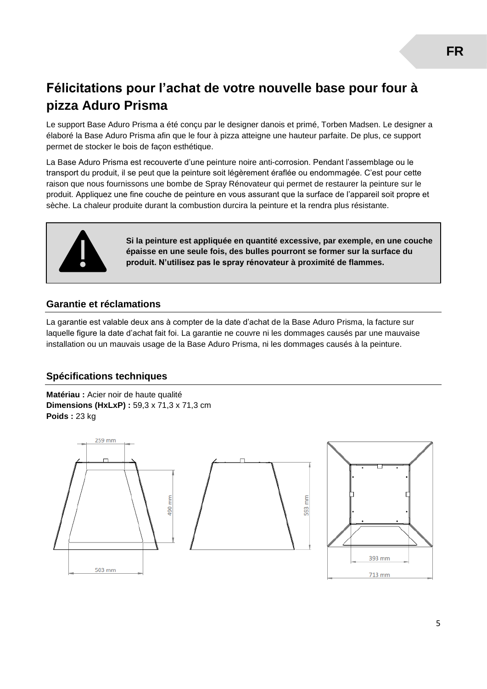### **Félicitations pour l'achat de votre nouvelle base pour four à pizza Aduro Prisma**

Le support Base Aduro Prisma a été conçu par le designer danois et primé, Torben Madsen. Le designer a élaboré la Base Aduro Prisma afin que le four à pizza atteigne une hauteur parfaite. De plus, ce support permet de stocker le bois de façon esthétique.

La Base Aduro Prisma est recouverte d'une peinture noire anti-corrosion. Pendant l'assemblage ou le transport du produit, il se peut que la peinture soit légèrement éraflée ou endommagée. C'est pour cette raison que nous fournissons une bombe de Spray Rénovateur qui permet de restaurer la peinture sur le produit. Appliquez une fine couche de peinture en vous assurant que la surface de l'appareil soit propre et sèche. La chaleur produite durant la combustion durcira la peinture et la rendra plus résistante.



**Si la peinture est appliquée en quantité excessive, par exemple, en une couche épaisse en une seule fois, des bulles pourront se former sur la surface du produit. N'utilisez pas le spray rénovateur à proximité de flammes.**

### **Garantie et réclamations**

La garantie est valable deux ans à compter de la date d'achat de la Base Aduro Prisma, la facture sur laquelle figure la date d'achat fait foi. La garantie ne couvre ni les dommages causés par une mauvaise installation ou un mauvais usage de la Base Aduro Prisma, ni les dommages causés à la peinture.

### **Spécifications techniques**

**Matériau :** Acier noir de haute qualité **Dimensions (HxLxP):** 59,3 x 71,3 x 71,3 cm **Poids :** 23 kg

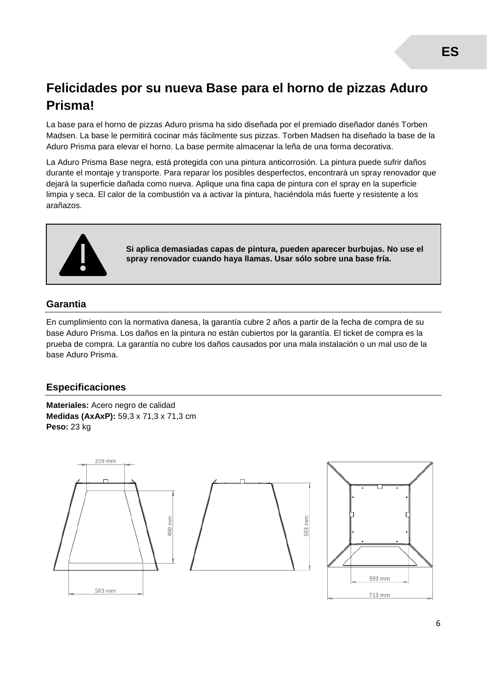### **Felicidades por su nueva Base para el horno de pizzas Aduro Prisma!**

La base para el horno de pizzas Aduro prisma ha sido diseñada por el premiado diseñador danés Torben Madsen. La base le permitirá cocinar más fácilmente sus pizzas. Torben Madsen ha diseñado la base de la Aduro Prisma para elevar el horno. La base permite almacenar la leña de una forma decorativa.

La Aduro Prisma Base negra, está protegida con una pintura anticorrosión. La pintura puede sufrir daños durante el montaje y transporte. Para reparar los posibles desperfectos, encontrará un spray renovador que dejará la superficie dañada como nueva. Aplique una fina capa de pintura con el spray en la superficie limpia y seca. El calor de la combustión va a activar la pintura, haciéndola más fuerte y resistente a los arañazos.



**Si aplica demasiadas capas de pintura, pueden aparecer burbujas. No use el spray renovador cuando haya llamas. Usar sólo sobre una base fría.**

### **Garantia**

En cumplimiento con la normativa danesa, la garantía cubre 2 años a partir de la fecha de compra de su base Aduro Prisma. Los daños en la pintura no están cubiertos por la garantía. El ticket de compra es la prueba de compra. La garantía no cubre los daños causados por una mala instalación o un mal uso de la base Aduro Prisma.

### **Especificaciones**

**Materiales:** Acero negro de calidad **Medidas (AxAxP):** 59,3 x 71,3 x 71,3 cm **Peso:** 23 kg

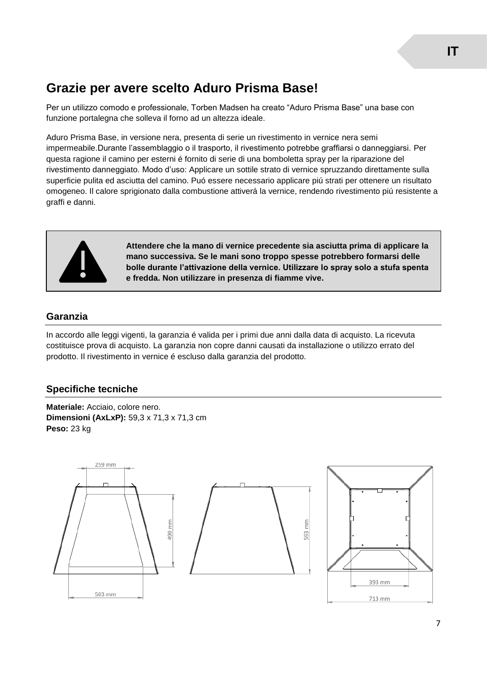### **Grazie per avere scelto Aduro Prisma Base!**

Per un utilizzo comodo e professionale, Torben Madsen ha creato "Aduro Prisma Base" una base con funzione portalegna che solleva il forno ad un altezza ideale.

Aduro Prisma Base, in versione nera, presenta di serie un rivestimento in vernice nera semi impermeabile.Durante l'assemblaggio o il trasporto, il rivestimento potrebbe graffiarsi o danneggiarsi. Per questa ragione il camino per esterni é fornito di serie di una bomboletta spray per la riparazione del rivestimento danneggiato. Modo d'uso: Applicare un sottile strato di vernice spruzzando direttamente sulla superficie pulita ed asciutta del camino. Puó essere necessario applicare piú strati per ottenere un risultato omogeneo. Il calore sprigionato dalla combustione attiverá la vernice, rendendo rivestimento piú resistente a graffi e danni.



**Attendere che la mano di vernice precedente sia asciutta prima di applicare la mano successiva. Se le mani sono troppo spesse potrebbero formarsi delle bolle durante l'attivazione della vernice. Utilizzare lo spray solo a stufa spenta e fredda. Non utilizzare in presenza di fiamme vive.**

### **Garanzia**

In accordo alle leggi vigenti, la garanzia é valida per i primi due anni dalla data di acquisto. La ricevuta costituisce prova di acquisto. La garanzia non copre danni causati da installazione o utilizzo errato del prodotto. Il rivestimento in vernice é escluso dalla garanzia del prodotto.

### **Specifiche tecniche**

**Materiale:** Acciaio, colore nero. **Dimensioni (AxLxP):** 59,3 x 71,3 x 71,3 cm **Peso:** 23 kg

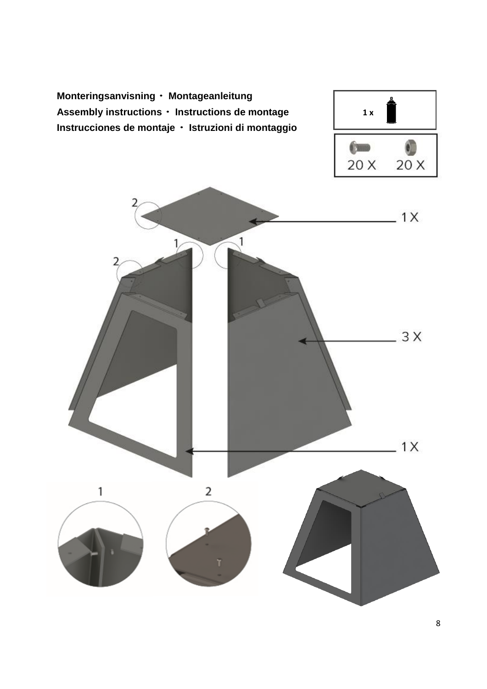